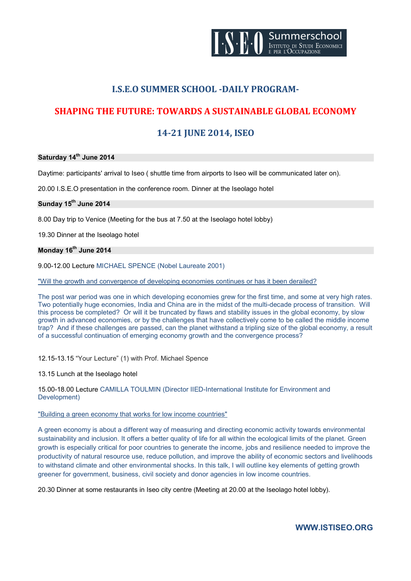

# **I.S.E.O SUMMER SCHOOL -DAILY PROGRAM-**

# **SHAPING THE FUTURE: TOWARDS A SUSTAINABLE GLOBAL ECONOMY**

# **14-21 JUNE 2014, ISEO**

### **Saturday 14th June 2014**

Daytime: participants' arrival to Iseo ( shuttle time from airports to Iseo will be communicated later on).

20.00 I.S.E.O presentation in the conference room. Dinner at the Iseolago hotel

# **Sunday 15th June 2014**

8.00 Day trip to Venice (Meeting for the bus at 7.50 at the Iseolago hotel lobby)

19.30 Dinner at the Iseolago hotel

### **Monday 16th June 2014**

9.00-12.00 Lecture MICHAEL SPENCE (Nobel Laureate 2001)

"Will the growth and convergence of developing economies continues or has it been derailed?

The post war period was one in which developing economies grew for the first time, and some at very high rates. Two potentially huge economies, India and China are in the midst of the multi-decade process of transition. Will this process be completed? Or will it be truncated by flaws and stability issues in the global economy, by slow growth in advanced economies, or by the challenges that have collectively come to be called the middle income trap? And if these challenges are passed, can the planet withstand a tripling size of the global economy, a result of a successful continuation of emerging economy growth and the convergence process?

12.15-13.15 "Your Lecture" (1) with Prof. Michael Spence

13.15 Lunch at the Iseolago hotel

15.00-18.00 Lecture CAMILLA TOULMIN (Director IIED-International Institute for Environment and Development)

#### "Building a green economy that works for low income countries"

A green economy is about a different way of measuring and directing economic activity towards environmental sustainability and inclusion. It offers a better quality of life for all within the ecological limits of the planet. Green growth is especially critical for poor countries to generate the income, jobs and resilience needed to improve the productivity of natural resource use, reduce pollution, and improve the ability of economic sectors and livelihoods to withstand climate and other environmental shocks. In this talk, I will outline key elements of getting growth greener for government, business, civil society and donor agencies in low income countries.

20.30 Dinner at some restaurants in Iseo city centre (Meeting at 20.00 at the Iseolago hotel lobby).

**WWW.ISTISEO.ORG**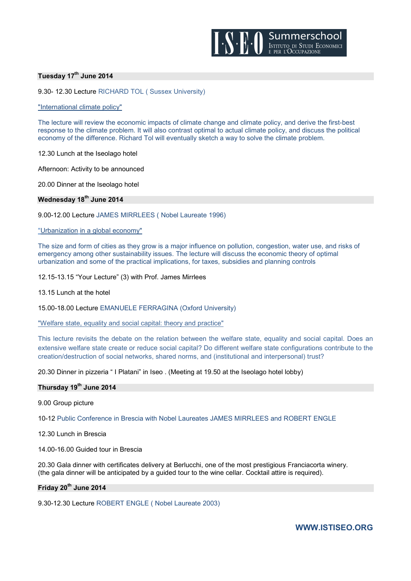

#### **Tuesday 17th June 2014**

9.30- 12.30 Lecture RICHARD TOL ( Sussex University)

"International climate policy"

The lecture will review the economic impacts of climate change and climate policy, and derive the first-best response to the climate problem. It will also contrast optimal to actual climate policy, and discuss the political economy of the difference. Richard Tol will eventually sketch a way to solve the climate problem.

12.30 Lunch at the Iseolago hotel

Afternoon: Activity to be announced

20.00 Dinner at the Iseolago hotel

### **Wednesday 18th June 2014**

9.00-12.00 Lecture JAMES MIRRLEES ( Nobel Laureate 1996)

"Urbanization in a global economy"

The size and form of cities as they grow is a major influence on pollution, congestion, water use, and risks of emergency among other sustainability issues. The lecture will discuss the economic theory of optimal urbanization and some of the practical implications, for taxes, subsidies and planning controls

12.15-13.15 "Your Lecture" (3) with Prof. James Mirrlees

13.15 Lunch at the hotel

15.00-18.00 Lecture EMANUELE FERRAGINA (Oxford University)

"Welfare state, equality and social capital: theory and practice"

This lecture revisits the debate on the relation between the welfare state, equality and social capital. Does an extensive welfare state create or reduce social capital? Do different welfare state configurations contribute to the creation/destruction of social networks, shared norms, and (institutional and interpersonal) trust?

20.30 Dinner in pizzeria " I Platani" in Iseo . (Meeting at 19.50 at the Iseolago hotel lobby)

#### **Thursday 19th June 2014**

9.00 Group picture

10-12 Public Conference in Brescia with Nobel Laureates JAMES MIRRLEES and ROBERT ENGLE

12.30 Lunch in Brescia

14.00-16.00 Guided tour in Brescia

20.30 Gala dinner with certificates delivery at Berlucchi, one of the most prestigious Franciacorta winery. (the gala dinner will be anticipated by a guided tour to the wine cellar. Cocktail attire is required).

## **Friday 20th June 2014**

9.30-12.30 Lecture ROBERT ENGLE ( Nobel Laureate 2003)